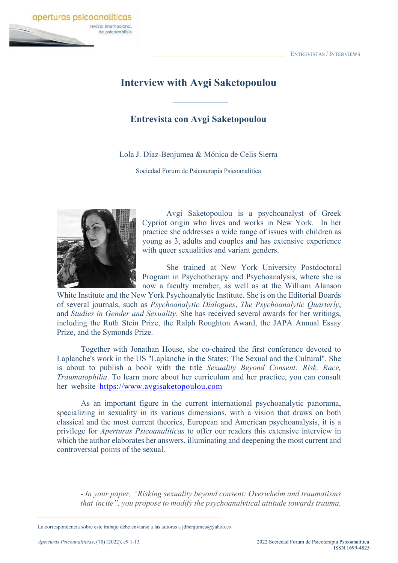

## **Interview with Avgi Saketopoulou**

## **Entrevista con Avgi Saketopoulou**

Lola J. Díaz-Benjumea & Mónica de Celis Sierra

Sociedad Forum de Psicoterapia Psicoanalítica



Avgi Saketopoulou is a psychoanalyst of Greek Cypriot origin who lives and works in New York. In her practice she addresses a wide range of issues with children as young as 3, adults and couples and has extensive experience with queer sexualities and variant genders.

She trained at New York University Postdoctoral Program in Psychotherapy and Psychoanalysis, where she is now a faculty member, as well as at the William Alanson

White Institute and the New York Psychoanalytic Institute. She is on the Editorial Boards of several journals, such as *Psychoanalytic Dialogues*, *The Psychoanalytic Quarterly*, and *Studies in Gender and Sexuality*. She has received several awards for her writings, including the Ruth Stein Prize, the Ralph Roughton Award, the JAPA Annual Essay Prize, and the Symonds Prize.

Together with Jonathan House, she co-chaired the first conference devoted to Laplanche's work in the US "Laplanche in the States: The Sexual and the Cultural". She is about to publish a book with the title *Sexuality Beyond Consent: Risk, Race, Traumatophilia*. To learn more about her curriculum and her practice, you can consult her website https://www.avgisaketopoulou.com

As an important figure in the current international psychoanalytic panorama, specializing in sexuality in its various dimensions, with a vision that draws on both classical and the most current theories, European and American psychoanalysis, it is a privilege for *Aperturas Psicoanalíticas* to offer our readers this extensive interview in which the author elaborates her answers, illuminating and deepening the most current and controversial points of the sexual.

*- In your paper, "Risking sexuality beyond consent: Overwhelm and traumatisms that incite", you propose to modify the psychoanalytical attitude towards trauma.*

La correspondencia sobre este trabajo debe enviarse a las autoras a jdbenjumea@yahoo.es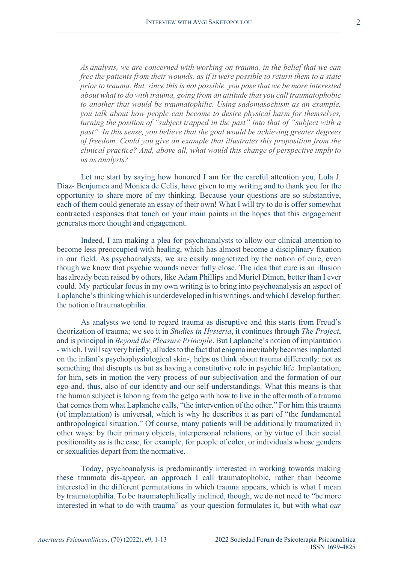*As analysts, we are concerned with working on trauma, in the belief that we can free the patients from their wounds, as if it were possible to return them to a state prior to trauma. But, since this is not possible, you pose that we be more interested about what to do with trauma, going from an attitude that you call traumatophobic to another that would be traumatophilic. Using sadomasochism as an example, you talk about how people can become to desire physical harm for themselves, turning the position of "subject trapped in the past" into that of "subject with a past". In this sense, you believe that the goal would be achieving greater degrees of freedom. Could you give an example that illustrates this proposition from the clinical practice? And, above all, what would this change of perspective imply to us as analysts?*

Let me start by saying how honored I am for the careful attention you, Lola J. Díaz- Benjumea and Mónica de Celis, have given to my writing and to thank you for the opportunity to share more of my thinking. Because your questions are so substantive, each of them could generate an essay of their own! What I will try to do is offer somewhat contracted responses that touch on your main points in the hopes that this engagement generates more thought and engagement.

Indeed, I am making a plea for psychoanalysts to allow our clinical attention to become less preoccupied with healing, which has almost become a disciplinary fixation in our field. As psychoanalysts, we are easily magnetized by the notion of cure, even though we know that psychic wounds never fully close. The idea that cure is an illusion hasalready been raised by others, like Adam Phillips and Muriel Dimen, better than I ever could. My particular focus in my own writing is to bring into psychoanalysis an aspect of Laplanche's thinking which is underdeveloped in his writings, and which I develop further: the notion of traumatophilia.

As analysts we tend to regard trauma as disruptive and this starts from Freud's theorization of trauma; we see it in *Studies in Hysteria*, it continues through *The Project*, and is principal in *Beyond the Pleasure Principle*. But Laplanche's notion of implantation - which, I will say very briefly, alludes to the fact that enigma inevitably becomes implanted on the infant's psychophysiological skin-, helps us think about trauma differently: not as something that disrupts us but as having a constitutive role in psychic life. Implantation, for him, sets in motion the very process of our subjectivation and the formation of our ego-and, thus, also of our identity and our self-understandings. What this means is that the human subject is laboring from the getgo with how to live in the aftermath of a trauma that comes from what Laplanche calls, "the intervention of the other." For him this trauma (of implantation) is universal, which is why he describes it as part of "the fundamental anthropological situation." Of course, many patients will be additionally traumatized in other ways: by their primary objects, interpersonal relations, or by virtue of their social positionality as is the case, for example, for people of color, or individuals whose genders or sexualities depart from the normative.

Today, psychoanalysis is predominantly interested in working towards making these traumata dis-appear, an approach I call traumatophobic, rather than become interested in the different permutations in which trauma appears, which is what I mean by traumatophilia. To be traumatophilically inclined, though, we do not need to "be more interested in what to do with trauma" as your question formulates it, but with what *our*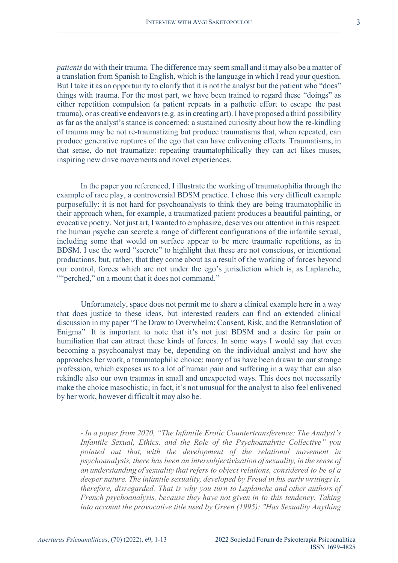*patients* do with their trauma. The difference may seem small and it may also be a matter of a translation from Spanish to English, which is the language in which I read your question. But I take it as an opportunity to clarify that it is not the analyst but the patient who "does" things with trauma. For the most part, we have been trained to regard these "doings" as either repetition compulsion (a patient repeats in a pathetic effort to escape the past trauma), or as creative endeavors (e.g. as in creating art). I have proposed a third possibility as far as the analyst's stance is concerned: a sustained curiosity about how the re-kindling of trauma may be not re-traumatizing but produce traumatisms that, when repeated, can produce generative ruptures of the ego that can have enlivening effects. Traumatisms, in that sense, do not traumatize: repeating traumatophilically they can act likes muses, inspiring new drive movements and novel experiences.

In the paper you referenced, I illustrate the working of traumatophilia through the example of race play, a controversial BDSM practice. I chose this very difficult example purposefully: it is not hard for psychoanalysts to think they are being traumatophilic in their approach when, for example, a traumatized patient produces a beautiful painting, or evocative poetry. Not just art, I wanted to emphasize, deserves our attention in this respect: the human psyche can secrete a range of different configurations of the infantile sexual, including some that would on surface appear to be mere traumatic repetitions, as in BDSM. I use the word "secrete" to highlight that these are not conscious, or intentional productions, but, rather, that they come about as a result of the working of forces beyond our control, forces which are not under the ego's jurisdiction which is, as Laplanche, ""perched," on a mount that it does not command."

Unfortunately, space does not permit me to share a clinical example here in a way that does justice to these ideas, but interested readers can find an extended clinical discussion in my paper "The Draw to Overwhelm: Consent, Risk, and the Retranslation of Enigma"*.* It is important to note that it's not just BDSM and a desire for pain or humiliation that can attract these kinds of forces. In some ways I would say that even becoming a psychoanalyst may be, depending on the individual analyst and how she approaches her work, a traumatophilic choice: many of us have been drawn to our strange profession, which exposes us to a lot of human pain and suffering in a way that can also rekindle also our own traumas in small and unexpected ways. This does not necessarily make the choice masochistic; in fact, it's not unusual for the analyst to also feel enlivened by her work, however difficult it may also be.

*- In a paper from 2020, "The Infantile Erotic Countertransference: The Analyst's Infantile Sexual, Ethics, and the Role of the Psychoanalytic Collective" you pointed out that, with the development of the relational movement in psychoanalysis, there has been an intersubjectivization ofsexuality, in the sense of an understanding ofsexuality thatrefers to object relations, considered to be of a deeper nature. The infantile sexuality, developed by Freud in his early writings is, therefore, disregarded. That is why you turn to Laplanche and other authors of French psychoanalysis, because they have not given in to this tendency. Taking into account the provocative title used by Green (1995): "Has Sexuality Anything*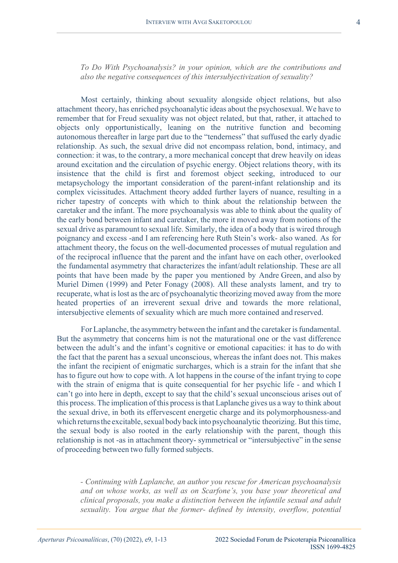*To Do With Psychoanalysis? in your opinion, which are the contributions and also the negative consequences of this intersubjectivization of sexuality?*

Most certainly, thinking about sexuality alongside object relations, but also attachment theory, has enriched psychoanalytic ideas about the psychosexual. We have to remember that for Freud sexuality was not object related, but that, rather, it attached to objects only opportunistically, leaning on the nutritive function and becoming autonomous thereafter in large part due to the "tenderness" that suffused the early dyadic relationship. As such, the sexual drive did not encompass relation, bond, intimacy, and connection: it was, to the contrary, a more mechanical concept that drew heavily on ideas around excitation and the circulation of psychic energy. Object relations theory, with its insistence that the child is first and foremost object seeking, introduced to our metapsychology the important consideration of the parent-infant relationship and its complex vicissitudes. Attachment theory added further layers of nuance, resulting in a richer tapestry of concepts with which to think about the relationship between the caretaker and the infant. The more psychoanalysis was able to think about the quality of the early bond between infant and caretaker, the more it moved away from notions of the sexual drive as paramount to sexual life. Similarly, the idea of a body that is wired through poignancy and excess -and I am referencing here Ruth Stein's work- also waned. As for attachment theory, the focus on the well-documented processes of mutual regulation and of the reciprocal influence that the parent and the infant have on each other, overlooked the fundamental asymmetry that characterizes the infant/adult relationship. These are all points that have been made by the paper you mentioned by Andre Green, and also by Muriel Dimen (1999) and Peter Fonagy (2008). All these analysts lament, and try to recuperate, what is lost as the arc of psychoanalytic theorizing moved away from the more heated properties of an irreverent sexual drive and towards the more relational, intersubjective elements of sexuality which are much more contained and reserved.

For Laplanche, the asymmetry between the infant and the caretaker is fundamental. But the asymmetry that concerns him is not the maturational one or the vast difference between the adult's and the infant's cognitive or emotional capacities: it has to do with the fact that the parent has a sexual unconscious, whereas the infant does not. This makes the infant the recipient of enigmatic surcharges, which is a strain for the infant that she has to figure out how to cope with. A lot happens in the course of the infant trying to cope with the strain of enigma that is quite consequential for her psychic life - and which I can't go into here in depth, except to say that the child's sexual unconscious arises out of this process. The implication of this processisthat Laplanche gives us a way to think about the sexual drive, in both its effervescent energetic charge and its polymorphousness-and which returns the excitable, sexual body back into psychoanalytic theorizing. But this time, the sexual body is also rooted in the early relationship with the parent, though this relationship is not -as in attachment theory- symmetrical or "intersubjective" in the sense of proceeding between two fully formed subjects.

*- Continuing with Laplanche, an author you rescue for American psychoanalysis and on whose works, as well as on Scarfone's, you base your theoretical and clinical proposals, you make a distinction between the infantile sexual and adult sexuality. You argue that the former- defined by intensity, overflow, potential*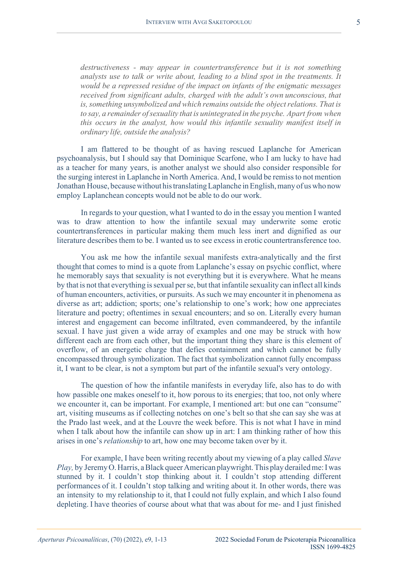*destructiveness - may appear in countertransference but it is not something analysts use to talk or write about, leading to a blind spot in the treatments. It would be a repressed residue of the impact on infants of the enigmatic messages received from significant adults, charged with the adult's own unconscious, that is,something unsymbolized and which remains outside the objectrelations. That is to say, a remainder ofsexuality that is unintegrated in the psyche. Apart from when this occurs in the analyst, how would this infantile sexuality manifest itself in ordinary life, outside the analysis?*

I am flattered to be thought of as having rescued Laplanche for American psychoanalysis, but I should say that Dominique Scarfone, who I am lucky to have had as a teacher for many years, is another analyst we should also consider responsible for the surging interest in Laplanche in North America. And, I would be remissto not mention Jonathan House, because without his translating Laplanche in English, many of us who now employ Laplanchean concepts would not be able to do our work.

In regards to your question, what I wanted to do in the essay you mention I wanted was to draw attention to how the infantile sexual may underwrite some erotic countertransferences in particular making them much less inert and dignified as our literature describes them to be. I wanted us to see excess in erotic countertransference too.

You ask me how the infantile sexual manifests extra-analytically and the first thought that comes to mind is a quote from Laplanche's essay on psychic conflict, where he memorably says that sexuality is not everything but it is everywhere. What he means by that is not that everything is sexual per se, but that infantile sexuality can inflect all kinds of human encounters, activities, or pursuits. Assuch we may encounter it in phenomena as diverse as art; addiction; sports; one's relationship to one's work; how one appreciates literature and poetry; oftentimes in sexual encounters; and so on. Literally every human interest and engagement can become infiltrated, even commandeered, by the infantile sexual. I have just given a wide array of examples and one may be struck with how different each are from each other, but the important thing they share is this element of overflow, of an energetic charge that defies containment and which cannot be fully encompassed through symbolization. The fact that symbolization cannot fully encompass it, I want to be clear, is not a symptom but part of the infantile sexual's very ontology.

The question of how the infantile manifests in everyday life, also has to do with how passible one makes oneself to it, how porous to its energies; that too, not only where we encounter it, can be important. For example, I mentioned art: but one can "consume" art, visiting museums as if collecting notches on one's belt so that she can say she was at the Prado last week, and at the Louvre the week before. This is not what I have in mind when I talk about how the infantile can show up in art: I am thinking rather of how this arises in one's *relationship* to art, how one may become taken over by it.

For example, I have been writing recently about my viewing of a play called *Slave Play,* by JeremyO.Harris, aBlack queerAmerican playwright.This play derailedme:Iwas stunned by it. I couldn't stop thinking about it. I couldn't stop attending different performances of it. I couldn't stop talking and writing about it. In other words, there was an intensity to my relationship to it, that I could not fully explain, and which I also found depleting. I have theories of course about what that was about for me- and I just finished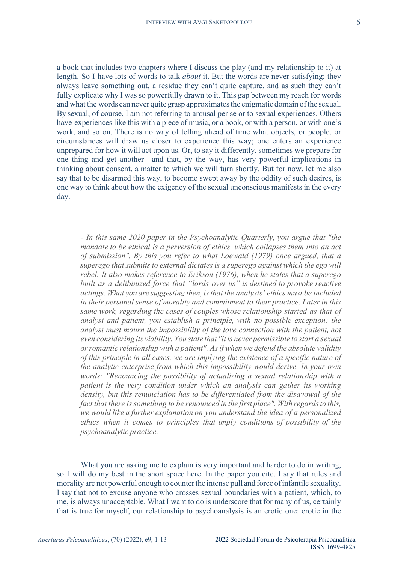a book that includes two chapters where I discuss the play (and my relationship to it) at length. So I have lots of words to talk *about* it. But the words are never satisfying; they always leave something out, a residue they can't quite capture, and as such they can't fully explicate why I was so powerfully drawn to it. This gap between my reach for words and what the words can never quite grasp approximates the enigmatic domain of the sexual. By sexual, of course, I am not referring to arousal per se or to sexual experiences. Others have experiences like this with a piece of music, or a book, or with a person, or with one's work, and so on. There is no way of telling ahead of time what objects, or people, or circumstances will draw us closer to experience this way; one enters an experience unprepared for how it will act upon us. Or, to say it differently, sometimes we prepare for one thing and get another—and that, by the way, has very powerful implications in thinking about consent, a matter to which we will turn shortly. But for now, let me also say that to be disarmed this way, to become swept away by the oddity of such desires, is one way to think about how the exigency of the sexual unconscious manifests in the every day.

*- In this same 2020 paper in the Psychoanalytic Quarterly, you argue that "the mandate to be ethical is a perversion of ethics, which collapses them into an act of submission". By this you refer to what Loewald (1979) once argued, that a superego that submits to external dictates is a superego against which the ego will rebel. It also makes reference to Erikson (1976), when he states that a superego built as a delibinized force that "lords over us" is destined to provoke reactive actings. What you are suggesting then, isthat the analysts' ethics must be included in their personal sense of morality and commitment to their practice. Later in this same work, regarding the cases of couples whose relationship started as that of analyst and patient, you establish a principle, with no possible exception: the analyst must mourn the impossibility of the love connection with the patient, not even considering its viability. You state that "it is never permissible to start a sexual orromantic relationship with a patient". Asif when we defend the absolute validity of this principle in all cases, we are implying the existence of a specific nature of the analytic enterprise from which this impossibility would derive. In your own words: "Renouncing the possibility of actualizing a sexual relationship with a patient is the very condition under which an analysis can gather its working density, but this renunciation has to be differentiated from the disavowal of the fact that there is something to be renounced in the first place". With regardsto this, we would like a further explanation on you understand the idea of a personalized ethics when it comes to principles that imply conditions of possibility of the psychoanalytic practice.*

What you are asking me to explain is very important and harder to do in writing, so I will do my best in the short space here. In the paper you cite, I say that rules and morality are not powerful enough to counter the intense pull and force of infantile sexuality. I say that not to excuse anyone who crosses sexual boundaries with a patient, which, to me, is always unacceptable. What I want to do is underscore that for many of us, certainly that is true for myself, our relationship to psychoanalysis is an erotic one: erotic in the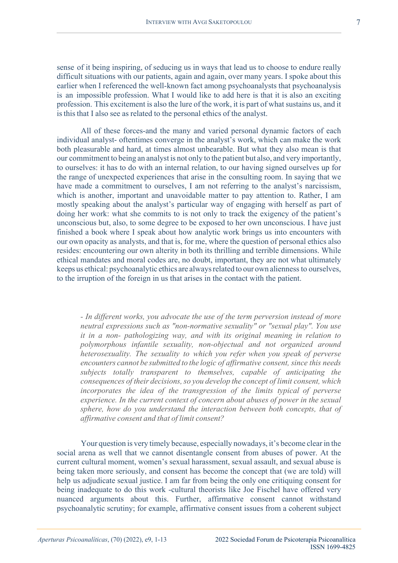sense of it being inspiring, of seducing us in ways that lead us to choose to endure really difficult situations with our patients, again and again, over many years. I spoke about this earlier when I referenced the well-known fact among psychoanalysts that psychoanalysis is an impossible profession. What I would like to add here is that it is also an exciting profession. This excitement is also the lure of the work, it is part of what sustains us, and it isthisthat I also see as related to the personal ethics of the analyst.

All of these forces-and the many and varied personal dynamic factors of each individual analyst- oftentimes converge in the analyst's work, which can make the work both pleasurable and hard, at times almost unbearable. But what they also mean is that our commitment to being an analyst is not only to the patient but also, and very importantly, to ourselves: it has to do with an internal relation, to our having signed ourselves up for the range of unexpected experiences that arise in the consulting room. In saying that we have made a commitment to ourselves, I am not referring to the analyst's narcissism, which is another, important and unavoidable matter to pay attention to. Rather, I am mostly speaking about the analyst's particular way of engaging with herself as part of doing her work: what she commits to is not only to track the exigency of the patient's unconscious but, also, to some degree to be exposed to her own unconscious. I have just finished a book where I speak about how analytic work brings us into encounters with our own opacity as analysts, and that is, for me, where the question of personal ethics also resides: encountering our own alterity in both its thrilling and terrible dimensions. While ethical mandates and moral codes are, no doubt, important, they are not what ultimately keeps us ethical: psychoanalytic ethics are alwaysrelated to our own alienness to ourselves, to the irruption of the foreign in us that arises in the contact with the patient.

*- In different works, you advocate the use of the term perversion instead of more neutral expressions such as "non-normative sexuality" or "sexual play". You use it in a non- pathologizing way, and with its original meaning in relation to polymorphous infantile sexuality, non-objectual and not organized around heterosexuality. The sexuality to which you refer when you speak of perverse encounters cannot be submitted to the logic of affirmative consent, since this needs subjects totally transparent to themselves, capable of anticipating the consequences of their decisions, so you develop the concept of limit consent, which incorporates the idea of the transgression of the limits typical of perverse experience. In the current context of concern about abuses of power in the sexual sphere, how do you understand the interaction between both concepts, that of affirmative consent and that of limit consent?*

Your question is very timely because, especially nowadays, it's become clearin the social arena as well that we cannot disentangle consent from abuses of power. At the current cultural moment, women's sexual harassment, sexual assault, and sexual abuse is being taken more seriously, and consent has become the concept that (we are told) will help us adjudicate sexual justice. I am far from being the only one critiquing consent for being inadequate to do this work -cultural theorists like Joe Fischel have offered very nuanced arguments about this. Further, affirmative consent cannot withstand psychoanalytic scrutiny; for example, affirmative consent issues from a coherent subject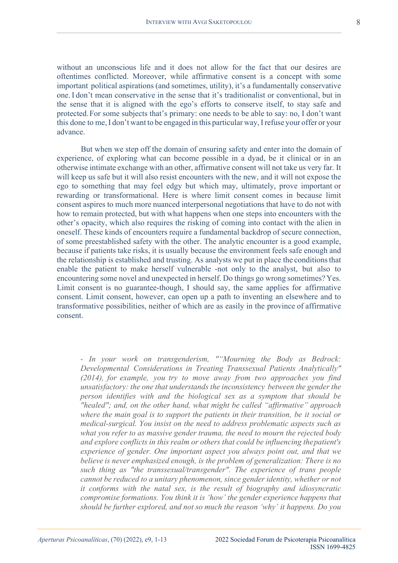without an unconscious life and it does not allow for the fact that our desires are oftentimes conflicted. Moreover, while affirmative consent is a concept with some important political aspirations (and sometimes, utility), it's a fundamentally conservative one.I don't mean conservative in the sense that it's traditionalist or conventional, but in the sense that it is aligned with the ego's efforts to conserve itself, to stay safe and protected.For some subjects that's primary: one needs to be able to say: no, I don't want this done to me, I don't want to be engaged in this particular way, I refuse your offer or your advance.

But when we step off the domain of ensuring safety and enter into the domain of experience, of exploring what can become possible in a dyad, be it clinical or in an otherwise intimate exchange with an other, affirmative consent will not take us very far. It will keep us safe but it will also resist encounters with the new, and it will not expose the ego to something that may feel edgy but which may, ultimately, prove important or rewarding or transformational. Here is where limit consent comes in because limit consent aspires to much more nuanced interpersonal negotiations that have to do not with how to remain protected, but with what happens when one steps into encounters with the other's opacity, which also requires the risking of coming into contact with the alien in oneself. These kinds of encounters require a fundamental backdrop of secure connection, of some preestablished safety with the other. The analytic encounter is a good example, because if patients take risks, it is usually because the environment feels safe enough and the relationship is established and trusting. As analysts we put in place the conditionsthat enable the patient to make herself vulnerable -not only to the analyst, but also to encountering some novel and unexpected in herself. Do things go wrong sometimes? Yes. Limit consent is no guarantee-though, I should say, the same applies for affirmative consent. Limit consent, however, can open up a path to inventing an elsewhere and to transformative possibilities, neither of which are as easily in the province of affirmative consent.

*- In your work on transgenderism, ""Mourning the Body as Bedrock: Developmental Considerations in Treating Transsexual Patients Analytically" (2014), for example, you try to move away from two approaches you find unsatisfactory: the one that understands the inconsistency between the gender the person identifies with and the biological sex as a symptom that should be "healed"; and, on the other hand, what might be called "affirmative" approach where the main goal is to support the patients in their transition, be it social or medical-surgical. You insist on the need to address problematic aspects such as what you refer to as massive gender trauma, the need to mourn the rejected body and explore conflicts in this realm or others that could be influencing thepatient's experience of gender. One important aspect you always point out, and that we believe is never emphasized enough, is the problem of generalization: There is no such thing as "the transsexual/transgender". The experience of trans people cannot be reduced to a unitary phenomenon, since gender identity, whether or not it conforms with the natal sex, is the result of biography and idiosyncratic compromise formations. You think it is 'how' the gender experience happens that should be further explored, and not so much the reason 'why' it happens. Do you*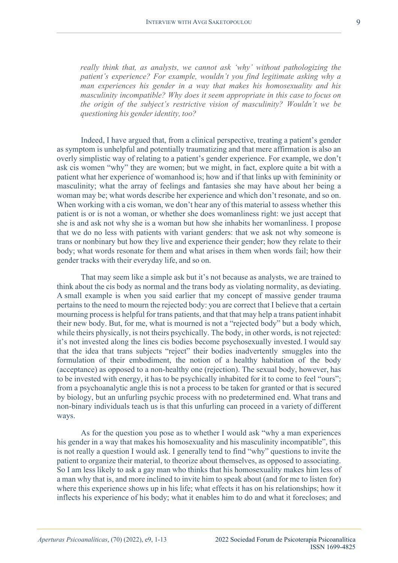*really think that, as analysts, we cannot ask 'why' without pathologizing the patient's experience? For example, wouldn't you find legitimate asking why a man experiences his gender in a way that makes his homosexuality and his masculinity incompatible? Why does it seem appropriate in this case to focus on the origin of the subject's restrictive vision of masculinity? Wouldn't we be questioning his gender identity, too?*

Indeed, I have argued that, from a clinical perspective, treating a patient's gender as symptom is unhelpful and potentially traumatizing and that mere affirmation is also an overly simplistic way of relating to a patient's gender experience. For example, we don't ask cis women "why" they are women; but we might, in fact, explore quite a bit with a patient what her experience of womanhood is; how and if that links up with femininity or masculinity; what the array of feelings and fantasies she may have about her being a woman may be; what words describe her experience and which don't resonate, and so on. When working with a cis woman, we don't hear any of this material to assess whether this patient is or is not a woman, or whether she does womanliness right: we just accept that she is and ask not why she is a woman but how she inhabits her womanliness. I propose that we do no less with patients with variant genders: that we ask not why someone is trans or nonbinary but how they live and experience their gender; how they relate to their body; what words resonate for them and what arises in them when words fail; how their gender tracks with their everyday life, and so on.

That may seem like a simple ask but it's not because as analysts, we are trained to think about the cis body as normal and the trans body as violating normality, as deviating. A small example is when you said earlier that my concept of massive gender trauma pertains to the need to mourn the rejected body: you are correct that I believe that a certain mourning process is helpful for trans patients, and that that may help a trans patient inhabit their new body. But, for me, what is mourned is not a "rejected body" but a body which, while theirs physically, is not theirs psychically. The body, in other words, is not rejected: it's not invested along the lines cis bodies become psychosexually invested. I would say that the idea that trans subjects "reject" their bodies inadvertently smuggles into the formulation of their embodiment, the notion of a healthy habitation of the body (acceptance) as opposed to a non-healthy one (rejection). The sexual body, however, has to be invested with energy, it has to be psychically inhabited for it to come to feel "ours"; from a psychoanalytic angle this is not a process to be taken for granted or that is secured by biology, but an unfurling psychic process with no predetermined end. What trans and non-binary individuals teach us is that this unfurling can proceed in a variety of different ways.

As for the question you pose as to whether I would ask "why a man experiences his gender in a way that makes his homosexuality and his masculinity incompatible", this is not really a question I would ask. I generally tend to find "why" questions to invite the patient to organize their material, to theorize about themselves, as opposed to associating. So I am less likely to ask a gay man who thinks that his homosexuality makes him less of a man why that is, and more inclined to invite him to speak about (and for me to listen for) where this experience shows up in his life; what effects it has on his relationships; how it inflects his experience of his body; what it enables him to do and what it forecloses; and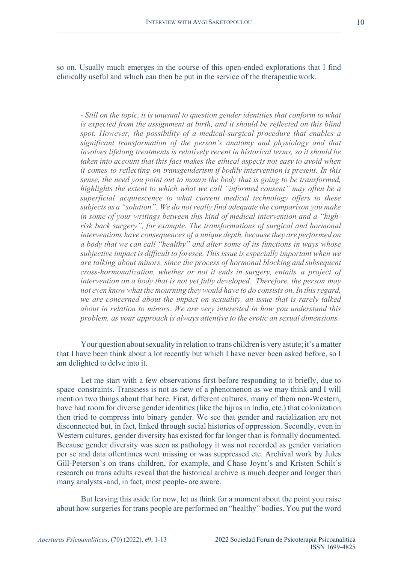so on. Usually much emerges in the course of this open-ended explorations that I find clinically useful and which can then be put in the service of the therapeuticwork.

*- Still on the topic, it is unusual to question gender identities that conform to what is expected from the assignment at birth, and it should be reflected on this blind spot. However, the possibility of a medical-surgical procedure that enables a significant transformation of the person's anatomy and physiology and that involves lifelong treatments is relatively recent in historical terms, so it should be taken into account that this fact makes the ethical aspects not easy to avoid when it comes to reflecting on transgenderism if bodily intervention is present. In this sense, the need you point out to mourn the body that is going to be transformed, highlights the extent to which what we call "informed consent" may often be a superficial acquiescence to what current medical technology offers to these subjects as a "solution". We do not really find adequate the comparison you make in some of your writings between this kind of medical intervention and a "highrisk back surgery", for example. The transformations of surgical and hormonal interventions have consequences of a unique depth, because they are performed on a body that we can call "healthy" and alter some of its functions in ways whose subjective impact is difficult to foresee. This issue is especially important when we are talking about minors, since the process of hormonal blocking and subsequent cross-hormonalization, whether or not it ends in surgery, entails a project of intervention on a body that is not yet fully developed. Therefore, the person may not even know what the mourning they would have to do consists on. In thisregard, we are concerned about the impact on sexuality, an issue that is rarely talked about in relation to minors. We are very interested in how you understand this problem, as your approach is always attentive to the erotic an sexual dimensions.*

Your question about sexuality in relation to trans children is very astute; it's a matter that I have been think about a lot recently but which I have never been asked before, so I am delighted to delve into it.

Let me start with a few observations first before responding to it briefly, due to space constraints. Transness is not as new of a phenomenon as we may think-and I will mention two things about that here. First, different cultures, many of them non-Western, have had room for diverse gender identities (like the hijras in India, etc.) that colonization then tried to compress into binary gender. We see that gender and racialization are not disconnected but, in fact, linked through social histories of oppression. Secondly, even in Western cultures, gender diversity has existed for far longer than is formally documented. Because gender diversity was seen as pathology it was not recorded as gender variation per se and data oftentimes went missing or was suppressed etc. Archival work by Jules Gill-Peterson's on trans children, for example, and Chase Joynt's and Kristen Schilt's research on trans adults reveal that the historical archive is much deeper and longer than many analysts -and, in fact, most people- are aware.

But leaving this aside for now, let us think for a moment about the point you raise about how surgeries for trans people are performed on "healthy" bodies. You put the word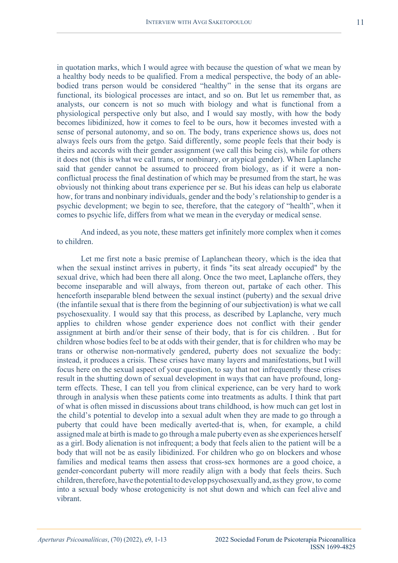in quotation marks, which I would agree with because the question of what we mean by a healthy body needs to be qualified. From a medical perspective, the body of an ablebodied trans person would be considered "healthy" in the sense that its organs are functional, its biological processes are intact, and so on. But let us remember that, as analysts, our concern is not so much with biology and what is functional from a physiological perspective only but also, and I would say mostly, with how the body becomes libidinized, how it comes to feel to be ours, how it becomes invested with a sense of personal autonomy, and so on. The body, trans experience shows us, does not always feels ours from the getgo. Said differently, some people feels that their body is theirs and accords with their gender assignment (we call this being cis), while for others it does not (this is what we call trans, or nonbinary, or atypical gender). When Laplanche said that gender cannot be assumed to proceed from biology, as if it were a nonconflictual process the final destination of which may be presumed from the start, he was obviously not thinking about trans experience per se. But his ideas can help us elaborate how, for trans and nonbinary individuals, gender and the body's relationship to gender is a psychic development; we begin to see, therefore, that the category of "health", when it comes to psychic life, differs from what we mean in the everyday or medical sense.

And indeed, as you note, these matters get infinitely more complex when it comes to children.

Let me first note a basic premise of Laplanchean theory, which is the idea that when the sexual instinct arrives in puberty, it finds "its seat already occupied" by the sexual drive, which had been there all along. Once the two meet, Laplanche offers, they become inseparable and will always, from thereon out, partake of each other. This henceforth inseparable blend between the sexual instinct (puberty) and the sexual drive (the infantile sexual that is there from the beginning of our subjectivation) is what we call psychosexuality. I would say that this process, as described by Laplanche, very much applies to children whose gender experience does not conflict with their gender assignment at birth and/or their sense of their body, that is for cis children. . But for children whose bodies feel to be at odds with their gender, that is for children who may be trans or otherwise non-normatively gendered, puberty does not sexualize the body: instead, it produces a crisis. These crises have many layers and manifestations, but I will focus here on the sexual aspect of your question, to say that not infrequently these crises result in the shutting down of sexual development in ways that can have profound, longterm effects. These, I can tell you from clinical experience, can be very hard to work through in analysis when these patients come into treatments as adults. I think that part of what is often missed in discussions about trans childhood, is how much can get lost in the child's potential to develop into a sexual adult when they are made to go through a puberty that could have been medically averted-that is, when, for example, a child assigned male at birth is made to go through a male puberty even as she experiences herself as a girl. Body alienation is not infrequent; a body that feels alien to the patient will be a body that will not be as easily libidinized. For children who go on blockers and whose families and medical teams then assess that cross-sex hormones are a good choice, a gender-concordant puberty will more readily align with a body that feels theirs. Such children, therefore, have the potential to develop psychosexually and, as they grow, to come into a sexual body whose erotogenicity is not shut down and which can feel alive and vibrant.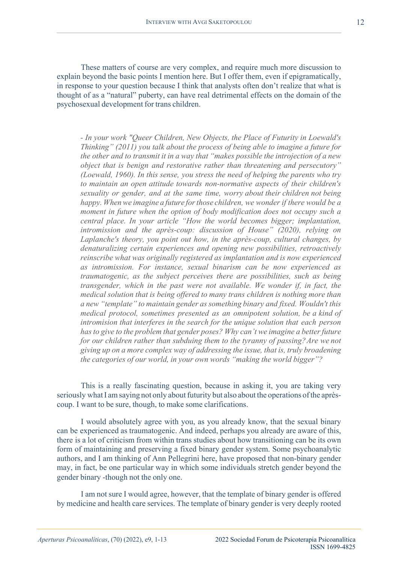These matters of course are very complex, and require much more discussion to explain beyond the basic points I mention here. But I offer them, even if epigramatically, in response to your question because I think that analysts often don't realize that what is thought of as a "natural" puberty, can have real detrimental effects on the domain of the psychosexual development for trans children.

*- In your work "Queer Children, New Objects, the Place of Futurity in Loewald's Thinking" (2011) you talk about the process of being able to imagine a future for the other and to transmit it in a way that "makes possible the introjection of a new object that is benign and restorative rather than threatening and persecutory" (Loewald, 1960). In this sense, you stress the need of helping the parents who try to maintain an open attitude towards non-normative aspects of their children's sexuality or gender, and at the same time, worry about their children not being happy. Whenwe imagine a future forthose children, we wonder if there would be a moment in future when the option of body modification does not occupy such a central place. In your article "How the world becomes bigger; implantation, intromission and the après-coup: discussion of House" (2020), relying on Laplanche's theory, you point out how, in the après-coup, cultural changes, by denaturalizing certain experiences and opening new possibilities, retroactively reinscribe what was originally registered as implantation and is now experienced as intromission. For instance, sexual binarism can be now experienced as traumatogenic, as the subject perceives there are possibilities, such as being transgender, which in the past were not available. We wonder if, in fact, the medical solution that is being offered to many trans children is nothing more than a new "template" to maintain gender assomething binary and fixed. Wouldn't this medical protocol, sometimes presented as an omnipotent solution, be a kind of intromision that interferes in the search for the unique solution that each person has to give to the problem that gender poses? Why can't we imagine a better future for our children rather than subduing them to the tyranny of passing?Are we not giving up on a more complex way of addressing the issue, that is, truly broadening the categories of our world, in your own words "making the world bigger"?*

This is a really fascinating question, because in asking it, you are taking very seriously what I am saying not only about futurity but also about the operations of the aprèscoup. I want to be sure, though, to make some clarifications.

I would absolutely agree with you, as you already know, that the sexual binary can be experienced as traumatogenic. And indeed, perhaps you already are aware of this, there is a lot of criticism from within trans studies about how transitioning can be its own form of maintaining and preserving a fixed binary gender system. Some psychoanalytic authors, and I am thinking of Ann Pellegrini here, have proposed that non-binary gender may, in fact, be one particular way in which some individuals stretch gender beyond the gender binary -though not the only one.

I am not sure I would agree, however, that the template of binary gender is offered by medicine and health care services. The template of binary gender is very deeply rooted